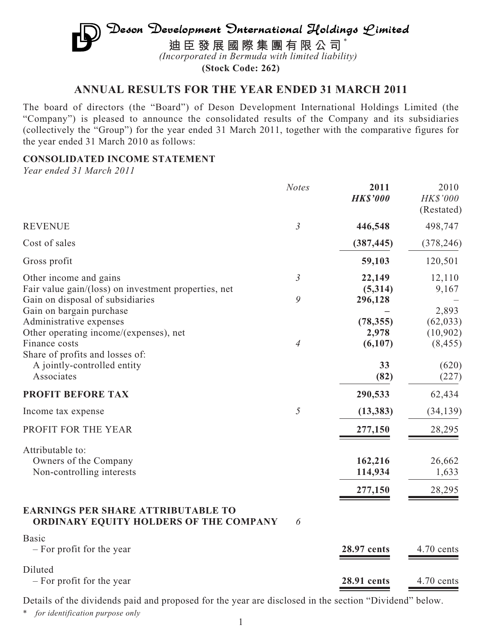# Deson Development Onternational Holdings Limited **迪臣發展國際集團有限公司** \* *(Incorporated in Bermuda with limited liability)*

**(Stock Code: 262)**

# **ANNUAL RESULTS FOR THE YEAR ENDED 31 MARCH 2011**

The board of directors (the "Board") of Deson Development International Holdings Limited (the "Company") is pleased to announce the consolidated results of the Company and its subsidiaries (collectively the "Group") for the year ended 31 March 2011, together with the comparative figures for the year ended 31 March 2010 as follows:

## **CONSOLIDATED INCOME STATEMENT**

*Year ended 31 March 2011*

|                                                                              | <b>Notes</b>   | 2011<br><b>HK\$'000</b> | 2010<br>HK\$'000<br>(Restated) |
|------------------------------------------------------------------------------|----------------|-------------------------|--------------------------------|
| <b>REVENUE</b>                                                               | $\mathfrak{Z}$ | 446,548                 | 498,747                        |
| Cost of sales                                                                |                | (387, 445)              | (378, 246)                     |
| Gross profit                                                                 |                | 59,103                  | 120,501                        |
| Other income and gains                                                       | $\mathfrak{Z}$ | 22,149                  | 12,110                         |
| Fair value gain/(loss) on investment properties, net                         |                | (5,314)                 | 9,167                          |
| Gain on disposal of subsidiaries                                             | 9              | 296,128                 |                                |
| Gain on bargain purchase                                                     |                |                         | 2,893                          |
| Administrative expenses                                                      |                | (78, 355)               | (62, 033)                      |
| Other operating income/(expenses), net                                       |                | 2,978                   | (10,902)                       |
| Finance costs                                                                | $\overline{4}$ | (6,107)                 | (8, 455)                       |
| Share of profits and losses of:                                              |                |                         |                                |
| A jointly-controlled entity                                                  |                | 33                      | (620)                          |
| Associates                                                                   |                | (82)                    | (227)                          |
| PROFIT BEFORE TAX                                                            |                | 290,533                 | 62,434                         |
| Income tax expense                                                           | 5              | (13, 383)               | (34, 139)                      |
| PROFIT FOR THE YEAR                                                          |                | 277,150                 | 28,295                         |
| Attributable to:                                                             |                |                         |                                |
| Owners of the Company                                                        |                | 162,216                 | 26,662                         |
| Non-controlling interests                                                    |                | 114,934                 | 1,633                          |
|                                                                              |                |                         |                                |
|                                                                              |                | 277,150                 | 28,295                         |
| EARNINGS PER SHARE ATTRIBUTABLE TO<br>ORDINARY EQUITY HOLDERS OF THE COMPANY | 6              |                         |                                |
| <b>Basic</b>                                                                 |                |                         |                                |
| - For profit for the year                                                    |                | 28.97 cents             | 4.70 cents                     |
| Diluted                                                                      |                |                         |                                |
| - For profit for the year                                                    |                | 28.91 cents             | 4.70 cents                     |

Details of the dividends paid and proposed for the year are disclosed in the section "Dividend" below.

\* *for identification purpose only*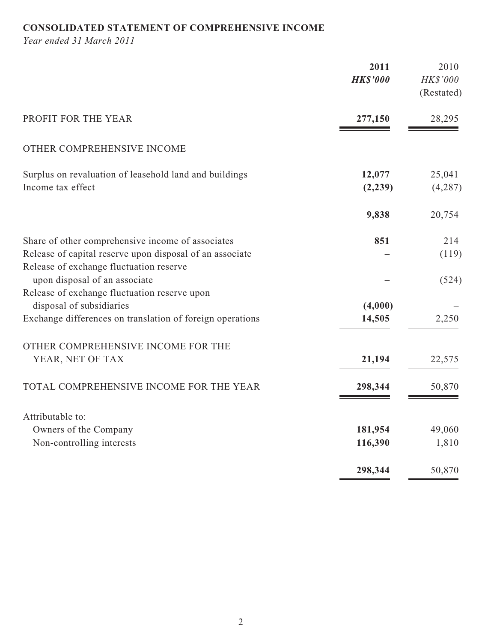# **CONSOLIDATED STATEMENT OF COMPREHENSIVE INCOME**

*Year ended 31 March 2011*

|                                                                                                     | 2011<br><b>HK\$'000</b> | 2010<br>HK\$'000<br>(Restated) |
|-----------------------------------------------------------------------------------------------------|-------------------------|--------------------------------|
| PROFIT FOR THE YEAR                                                                                 | 277,150                 | 28,295                         |
| OTHER COMPREHENSIVE INCOME                                                                          |                         |                                |
| Surplus on revaluation of leasehold land and buildings<br>Income tax effect                         | 12,077<br>(2, 239)      | 25,041<br>(4,287)              |
|                                                                                                     | 9,838                   | 20,754                         |
| Share of other comprehensive income of associates                                                   | 851                     | 214                            |
| Release of capital reserve upon disposal of an associate<br>Release of exchange fluctuation reserve |                         | (119)                          |
| upon disposal of an associate                                                                       |                         | (524)                          |
| Release of exchange fluctuation reserve upon<br>disposal of subsidiaries                            | (4,000)                 |                                |
| Exchange differences on translation of foreign operations                                           | 14,505                  | 2,250                          |
| OTHER COMPREHENSIVE INCOME FOR THE                                                                  |                         |                                |
| YEAR, NET OF TAX                                                                                    | 21,194                  | 22,575                         |
| TOTAL COMPREHENSIVE INCOME FOR THE YEAR                                                             | 298,344                 | 50,870                         |
| Attributable to:                                                                                    |                         |                                |
| Owners of the Company                                                                               | 181,954                 | 49,060                         |
| Non-controlling interests                                                                           | 116,390                 | 1,810                          |
|                                                                                                     | 298,344                 | 50,870                         |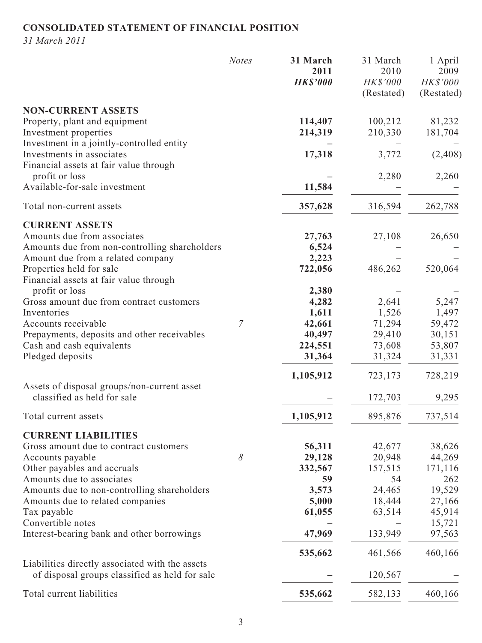# **CONSOLIDATED STATEMENT OF FINANCIAL POSITION**

*31 March 2011*

|                                                                                                   | <b>Notes</b> | 31 March<br>2011<br><b>HK\$'000</b> | 31 March<br>2010<br><b>HK\$'000</b><br>(Restated) | 1 April<br>2009<br>HK\$'000<br>(Restated) |
|---------------------------------------------------------------------------------------------------|--------------|-------------------------------------|---------------------------------------------------|-------------------------------------------|
| <b>NON-CURRENT ASSETS</b><br>Property, plant and equipment                                        |              | 114,407                             | 100,212                                           | 81,232                                    |
| Investment properties<br>Investment in a jointly-controlled entity                                |              | 214,319                             | 210,330                                           | 181,704                                   |
| Investments in associates<br>Financial assets at fair value through                               |              | 17,318                              | 3,772                                             | (2, 408)                                  |
| profit or loss<br>Available-for-sale investment                                                   |              | 11,584                              | 2,280                                             | 2,260                                     |
| Total non-current assets                                                                          |              | 357,628                             | 316,594                                           | 262,788                                   |
| <b>CURRENT ASSETS</b>                                                                             |              |                                     |                                                   |                                           |
| Amounts due from associates                                                                       |              | 27,763                              | 27,108                                            | 26,650                                    |
| Amounts due from non-controlling shareholders                                                     |              | 6,524                               |                                                   |                                           |
| Amount due from a related company                                                                 |              | 2,223                               |                                                   |                                           |
| Properties held for sale<br>Financial assets at fair value through                                |              | 722,056                             | 486,262                                           | 520,064                                   |
| profit or loss                                                                                    |              | 2,380                               |                                                   |                                           |
| Gross amount due from contract customers                                                          |              | 4,282                               | 2,641                                             | 5,247                                     |
| Inventories                                                                                       |              | 1,611                               | 1,526                                             | 1,497                                     |
| Accounts receivable                                                                               | 7            | 42,661                              | 71,294                                            | 59,472                                    |
| Prepayments, deposits and other receivables                                                       |              | 40,497                              | 29,410                                            | 30,151                                    |
| Cash and cash equivalents                                                                         |              | 224,551                             | 73,608                                            | 53,807                                    |
| Pledged deposits                                                                                  |              | 31,364                              | 31,324                                            | 31,331                                    |
| Assets of disposal groups/non-current asset                                                       |              | 1,105,912                           | 723,173                                           | 728,219                                   |
| classified as held for sale                                                                       |              |                                     | 172,703                                           | 9,295                                     |
| Total current assets                                                                              |              | 1,105,912                           | 895,876                                           | 737,514                                   |
| <b>CURRENT LIABILITIES</b>                                                                        |              |                                     |                                                   |                                           |
| Gross amount due to contract customers                                                            |              | 56,311                              | 42,677                                            | 38,626                                    |
| Accounts payable                                                                                  | $\delta$     | 29,128                              | 20,948                                            | 44,269                                    |
| Other payables and accruals                                                                       |              | 332,567                             | 157,515                                           | 171,116                                   |
| Amounts due to associates                                                                         |              | 59                                  | 54                                                | 262                                       |
| Amounts due to non-controlling shareholders                                                       |              | 3,573                               | 24,465                                            | 19,529                                    |
| Amounts due to related companies                                                                  |              | 5,000                               | 18,444                                            | 27,166                                    |
| Tax payable<br>Convertible notes                                                                  |              | 61,055                              | 63,514                                            | 45,914                                    |
| Interest-bearing bank and other borrowings                                                        |              | 47,969                              | 133,949                                           | 15,721<br>97,563                          |
|                                                                                                   |              | 535,662                             | 461,566                                           | 460,166                                   |
| Liabilities directly associated with the assets<br>of disposal groups classified as held for sale |              |                                     | 120,567                                           |                                           |
| Total current liabilities                                                                         |              | 535,662                             | 582,133                                           | 460,166                                   |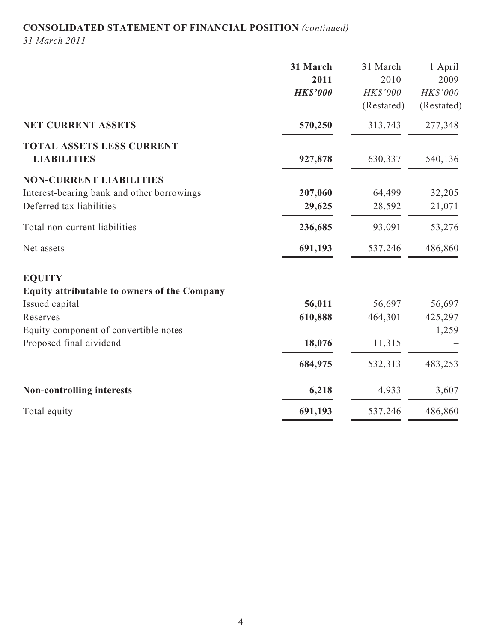# **CONSOLIDATED STATEMENT OF FINANCIAL POSITION** *(continued)*

*31 March 2011*

|                                              | 31 March        | 31 March        | 1 April    |
|----------------------------------------------|-----------------|-----------------|------------|
|                                              | 2011            | 2010            | 2009       |
|                                              | <b>HK\$'000</b> | <b>HK\$'000</b> | HK\$'000   |
|                                              |                 | (Restated)      | (Restated) |
| NET CURRENT ASSETS                           | 570,250         | 313,743         | 277,348    |
| <b>TOTAL ASSETS LESS CURRENT</b>             |                 |                 |            |
| <b>LIABILITIES</b>                           | 927,878         | 630,337         | 540,136    |
| <b>NON-CURRENT LIABILITIES</b>               |                 |                 |            |
| Interest-bearing bank and other borrowings   | 207,060         | 64,499          | 32,205     |
| Deferred tax liabilities                     | 29,625          | 28,592          | 21,071     |
| Total non-current liabilities                | 236,685         | 93,091          | 53,276     |
| Net assets                                   | 691,193         | 537,246         | 486,860    |
| <b>EQUITY</b>                                |                 |                 |            |
| Equity attributable to owners of the Company |                 |                 |            |
| Issued capital                               | 56,011          | 56,697          | 56,697     |
| Reserves                                     | 610,888         | 464,301         | 425,297    |
| Equity component of convertible notes        |                 |                 | 1,259      |
| Proposed final dividend                      | 18,076          | 11,315          |            |
|                                              | 684,975         | 532,313         | 483,253    |
| <b>Non-controlling interests</b>             | 6,218           | 4,933           | 3,607      |
| Total equity                                 | 691,193         | 537,246         | 486,860    |
|                                              |                 |                 |            |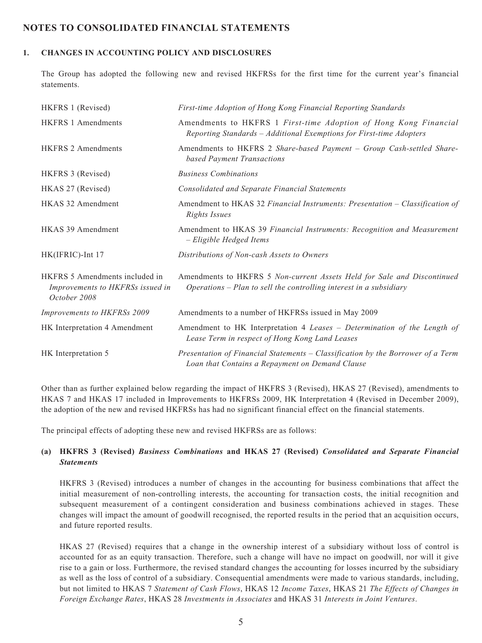## **NOTES TO CONSOLIDATED FINANCIAL STATEMENTS**

### **1. CHANGES IN ACCOUNTING POLICY AND DISCLOSURES**

The Group has adopted the following new and revised HKFRSs for the first time for the current year's financial statements.

| HKFRS 1 (Revised)                                                                  | First-time Adoption of Hong Kong Financial Reporting Standards                                                                                  |
|------------------------------------------------------------------------------------|-------------------------------------------------------------------------------------------------------------------------------------------------|
| <b>HKFRS 1 Amendments</b>                                                          | Amendments to HKFRS 1 First-time Adoption of Hong Kong Financial<br>Reporting Standards - Additional Exemptions for First-time Adopters         |
| <b>HKFRS 2 Amendments</b>                                                          | Amendments to HKFRS 2 Share-based Payment - Group Cash-settled Share-<br>based Payment Transactions                                             |
| HKFRS 3 (Revised)                                                                  | <b>Business Combinations</b>                                                                                                                    |
| HKAS 27 (Revised)                                                                  | <b>Consolidated and Separate Financial Statements</b>                                                                                           |
| HKAS 32 Amendment                                                                  | Amendment to HKAS 32 Financial Instruments: Presentation - Classification of<br><b>Rights Issues</b>                                            |
| <b>HKAS 39 Amendment</b>                                                           | Amendment to HKAS 39 Financial Instruments: Recognition and Measurement<br>- Eligible Hedged Items                                              |
| HK(IFRIC)-Int 17                                                                   | Distributions of Non-cash Assets to Owners                                                                                                      |
| HKFRS 5 Amendments included in<br>Improvements to HKFRSs issued in<br>October 2008 | Amendments to HKFRS 5 Non-current Assets Held for Sale and Discontinued<br>$Operations - Plan$ to sell the controlling interest in a subsidiary |
| Improvements to HKFRSs 2009                                                        | Amendments to a number of HKFRSs issued in May 2009                                                                                             |
| HK Interpretation 4 Amendment                                                      | Amendment to HK Interpretation 4 Leases - Determination of the Length of<br>Lease Term in respect of Hong Kong Land Leases                      |
| HK Interpretation 5                                                                | Presentation of Financial Statements - Classification by the Borrower of a Term<br>Loan that Contains a Repayment on Demand Clause              |

Other than as further explained below regarding the impact of HKFRS 3 (Revised), HKAS 27 (Revised), amendments to HKAS 7 and HKAS 17 included in Improvements to HKFRSs 2009, HK Interpretation 4 (Revised in December 2009), the adoption of the new and revised HKFRSs has had no significant financial effect on the financial statements.

The principal effects of adopting these new and revised HKFRSs are as follows:

### **(a) HKFRS 3 (Revised)** *Business Combinations* **and HKAS 27 (Revised)** *Consolidated and Separate Financial Statements*

HKFRS 3 (Revised) introduces a number of changes in the accounting for business combinations that affect the initial measurement of non-controlling interests, the accounting for transaction costs, the initial recognition and subsequent measurement of a contingent consideration and business combinations achieved in stages. These changes will impact the amount of goodwill recognised, the reported results in the period that an acquisition occurs, and future reported results.

HKAS 27 (Revised) requires that a change in the ownership interest of a subsidiary without loss of control is accounted for as an equity transaction. Therefore, such a change will have no impact on goodwill, nor will it give rise to a gain or loss. Furthermore, the revised standard changes the accounting for losses incurred by the subsidiary as well as the loss of control of a subsidiary. Consequential amendments were made to various standards, including, but not limited to HKAS 7 *Statement of Cash Flows*, HKAS 12 *Income Taxes*, HKAS 21 *The Effects of Changes in Foreign Exchange Rates*, HKAS 28 *Investments in Associates* and HKAS 31 *Interests in Joint Ventures*.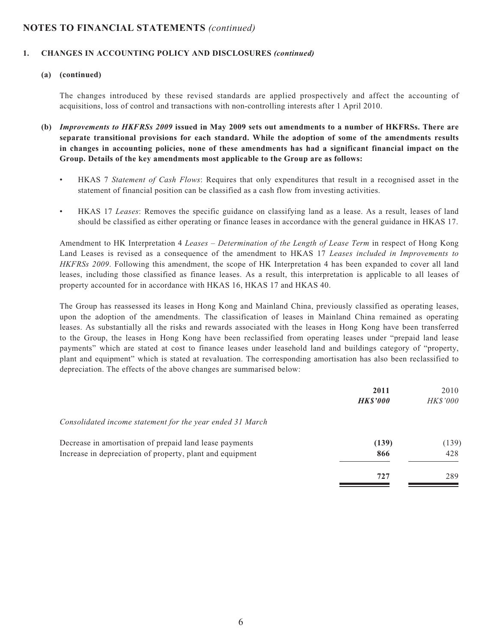#### **1. CHANGES IN ACCOUNTING POLICY AND DISCLOSURES** *(continued)*

#### **(a) (continued)**

The changes introduced by these revised standards are applied prospectively and affect the accounting of acquisitions, loss of control and transactions with non-controlling interests after 1 April 2010.

- **(b)** *Improvements to HKFRSs 2009* **issued in May 2009 sets out amendments to a number of HKFRSs. There are separate transitional provisions for each standard. While the adoption of some of the amendments results in changes in accounting policies, none of these amendments has had a significant financial impact on the Group. Details of the key amendments most applicable to the Group are as follows:**
	- HKAS 7 *Statement of Cash Flows*: Requires that only expenditures that result in a recognised asset in the statement of financial position can be classified as a cash flow from investing activities.
	- HKAS 17 *Leases*: Removes the specific guidance on classifying land as a lease. As a result, leases of land should be classified as either operating or finance leases in accordance with the general guidance in HKAS 17.

Amendment to HK Interpretation 4 *Leases – Determination of the Length of Lease Term* in respect of Hong Kong Land Leases is revised as a consequence of the amendment to HKAS 17 *Leases included in Improvements to HKFRSs 2009*. Following this amendment, the scope of HK Interpretation 4 has been expanded to cover all land leases, including those classified as finance leases. As a result, this interpretation is applicable to all leases of property accounted for in accordance with HKAS 16, HKAS 17 and HKAS 40.

The Group has reassessed its leases in Hong Kong and Mainland China, previously classified as operating leases, upon the adoption of the amendments. The classification of leases in Mainland China remained as operating leases. As substantially all the risks and rewards associated with the leases in Hong Kong have been transferred to the Group, the leases in Hong Kong have been reclassified from operating leases under "prepaid land lease payments" which are stated at cost to finance leases under leasehold land and buildings category of "property, plant and equipment" which is stated at revaluation. The corresponding amortisation has also been reclassified to depreciation. The effects of the above changes are summarised below:

|                                                           | 2011<br><b>HK\$'000</b> | 2010<br><i>HK\$'000</i> |
|-----------------------------------------------------------|-------------------------|-------------------------|
| Consolidated income statement for the year ended 31 March |                         |                         |
| Decrease in amortisation of prepaid land lease payments   | (139)                   | (139)                   |
| Increase in depreciation of property, plant and equipment | 866                     | 428                     |
|                                                           | 727                     | 289                     |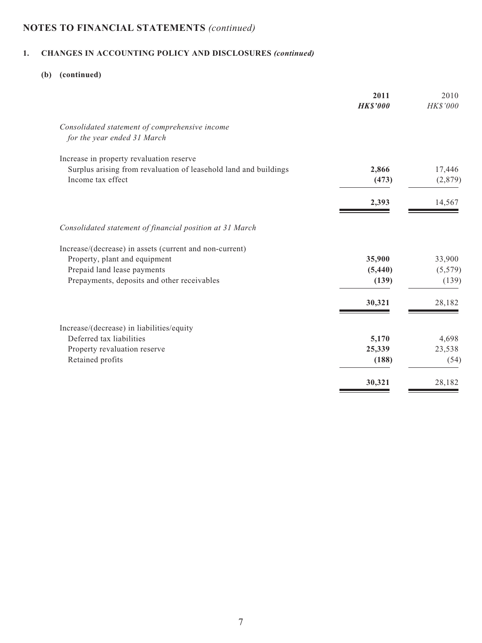# **1. CHANGES IN ACCOUNTING POLICY AND DISCLOSURES** *(continued)*

# **(b) (continued)**

|                                                                               | 2011            | 2010            |
|-------------------------------------------------------------------------------|-----------------|-----------------|
|                                                                               | <b>HK\$'000</b> | <b>HK\$'000</b> |
| Consolidated statement of comprehensive income<br>for the year ended 31 March |                 |                 |
| Increase in property revaluation reserve                                      |                 |                 |
| Surplus arising from revaluation of leasehold land and buildings              | 2,866           | 17,446          |
| Income tax effect                                                             | (473)           | (2,879)         |
|                                                                               | 2,393           | 14,567          |
| Consolidated statement of financial position at 31 March                      |                 |                 |
| Increase/(decrease) in assets (current and non-current)                       |                 |                 |
| Property, plant and equipment                                                 | 35,900          | 33,900          |
| Prepaid land lease payments                                                   | (5, 440)        | (5, 579)        |
| Prepayments, deposits and other receivables                                   | (139)           | (139)           |
|                                                                               | 30,321          | 28,182          |
| Increase/(decrease) in liabilities/equity                                     |                 |                 |
| Deferred tax liabilities                                                      | 5,170           | 4,698           |
| Property revaluation reserve                                                  | 25,339          | 23,538          |
| Retained profits                                                              | (188)           | (54)            |
|                                                                               | 30,321          | 28,182          |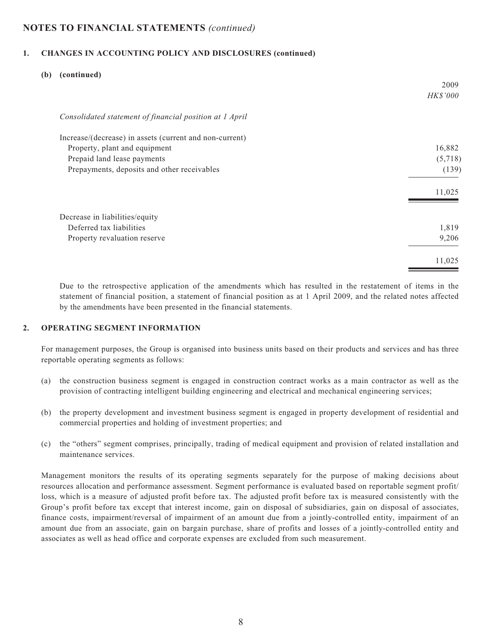#### **1. CHANGES IN ACCOUNTING POLICY AND DISCLOSURES (continued)**

| (b) | (continued)                                             |                 |
|-----|---------------------------------------------------------|-----------------|
|     |                                                         | 2009            |
|     |                                                         | <b>HK\$'000</b> |
|     | Consolidated statement of financial position at 1 April |                 |
|     | Increase/(decrease) in assets (current and non-current) |                 |
|     | Property, plant and equipment                           | 16,882          |
|     | Prepaid land lease payments                             | (5,718)         |
|     | Prepayments, deposits and other receivables             | (139)           |
|     |                                                         | 11,025          |
|     | Decrease in liabilities/equity                          |                 |
|     | Deferred tax liabilities                                | 1,819           |
|     | Property revaluation reserve                            | 9,206           |
|     |                                                         | 11,025          |

Due to the retrospective application of the amendments which has resulted in the restatement of items in the statement of financial position, a statement of financial position as at 1 April 2009, and the related notes affected by the amendments have been presented in the financial statements.

#### **2. OPERATING SEGMENT INFORMATION**

For management purposes, the Group is organised into business units based on their products and services and has three reportable operating segments as follows:

- (a) the construction business segment is engaged in construction contract works as a main contractor as well as the provision of contracting intelligent building engineering and electrical and mechanical engineering services;
- (b) the property development and investment business segment is engaged in property development of residential and commercial properties and holding of investment properties; and
- (c) the "others" segment comprises, principally, trading of medical equipment and provision of related installation and maintenance services.

Management monitors the results of its operating segments separately for the purpose of making decisions about resources allocation and performance assessment. Segment performance is evaluated based on reportable segment profit/ loss, which is a measure of adjusted profit before tax. The adjusted profit before tax is measured consistently with the Group's profit before tax except that interest income, gain on disposal of subsidiaries, gain on disposal of associates, finance costs, impairment/reversal of impairment of an amount due from a jointly-controlled entity, impairment of an amount due from an associate, gain on bargain purchase, share of profits and losses of a jointly-controlled entity and associates as well as head office and corporate expenses are excluded from such measurement.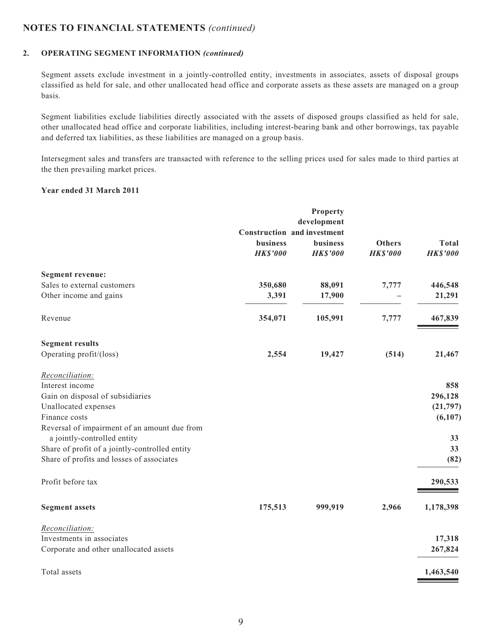#### **2. OPERATING SEGMENT INFORMATION** *(continued)*

Segment assets exclude investment in a jointly-controlled entity, investments in associates, assets of disposal groups classified as held for sale, and other unallocated head office and corporate assets as these assets are managed on a group basis.

Segment liabilities exclude liabilities directly associated with the assets of disposed groups classified as held for sale, other unallocated head office and corporate liabilities, including interest-bearing bank and other borrowings, tax payable and deferred tax liabilities, as these liabilities are managed on a group basis.

Intersegment sales and transfers are transacted with reference to the selling prices used for sales made to third parties at the then prevailing market prices.

#### **Year ended 31 March 2011**

|                                                |                 | Property                           |                 |                 |
|------------------------------------------------|-----------------|------------------------------------|-----------------|-----------------|
|                                                |                 | development                        |                 |                 |
|                                                |                 | <b>Construction and investment</b> |                 |                 |
|                                                | business        | business                           | <b>Others</b>   | <b>Total</b>    |
|                                                | <b>HK\$'000</b> | <b>HK\$'000</b>                    | <b>HK\$'000</b> | <b>HK\$'000</b> |
| <b>Segment revenue:</b>                        |                 |                                    |                 |                 |
| Sales to external customers                    | 350,680         | 88,091                             | 7,777           | 446,548         |
| Other income and gains                         | 3,391           | 17,900                             |                 | 21,291          |
| Revenue                                        | 354,071         | 105,991                            | 7,777           | 467,839         |
| <b>Segment results</b>                         |                 |                                    |                 |                 |
| Operating profit/(loss)                        | 2,554           | 19,427                             | (514)           | 21,467          |
| Reconciliation:                                |                 |                                    |                 |                 |
| Interest income                                |                 |                                    |                 | 858             |
| Gain on disposal of subsidiaries               |                 |                                    |                 | 296,128         |
| Unallocated expenses                           |                 |                                    |                 | (21, 797)       |
| Finance costs                                  |                 |                                    |                 | (6,107)         |
| Reversal of impairment of an amount due from   |                 |                                    |                 |                 |
| a jointly-controlled entity                    |                 |                                    |                 | 33              |
| Share of profit of a jointly-controlled entity |                 |                                    |                 | 33              |
| Share of profits and losses of associates      |                 |                                    |                 | (82)            |
| Profit before tax                              |                 |                                    |                 | 290,533         |
| <b>Segment assets</b>                          | 175,513         | 999,919                            | 2,966           | 1,178,398       |
| Reconciliation:                                |                 |                                    |                 |                 |
| Investments in associates                      |                 |                                    |                 | 17,318          |
| Corporate and other unallocated assets         |                 |                                    |                 | 267,824         |
| Total assets                                   |                 |                                    |                 | 1,463,540       |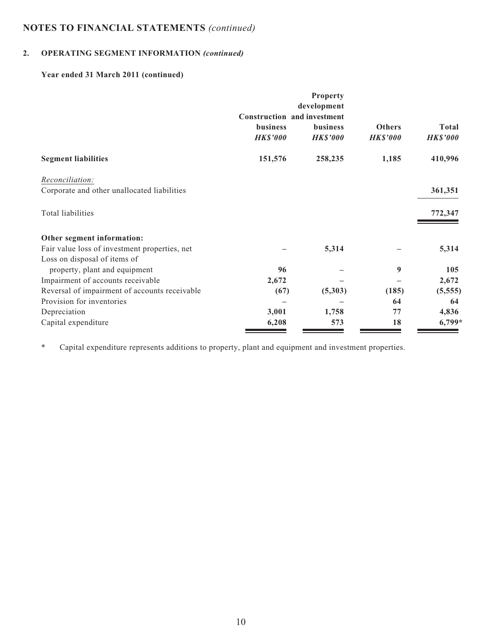# **2. OPERATING SEGMENT INFORMATION** *(continued)*

# **Year ended 31 March 2011 (continued)**

|                                               |                                    | Property<br>development |                 |                 |
|-----------------------------------------------|------------------------------------|-------------------------|-----------------|-----------------|
|                                               | <b>Construction and investment</b> |                         |                 |                 |
|                                               | <b>business</b>                    | <b>business</b>         | <b>Others</b>   | Total           |
|                                               | <b>HK\$'000</b>                    | <b>HK\$'000</b>         | <b>HK\$'000</b> | <b>HK\$'000</b> |
| <b>Segment liabilities</b>                    | 151,576                            | 258,235                 | 1,185           | 410,996         |
| <i>Reconciliation:</i>                        |                                    |                         |                 |                 |
| Corporate and other unallocated liabilities   |                                    |                         |                 | 361,351         |
| Total liabilities                             |                                    |                         |                 | 772,347         |
| Other segment information:                    |                                    |                         |                 |                 |
| Fair value loss of investment properties, net |                                    | 5,314                   |                 | 5,314           |
| Loss on disposal of items of                  |                                    |                         |                 |                 |
| property, plant and equipment                 | 96                                 |                         | 9               | 105             |
| Impairment of accounts receivable             | 2,672                              |                         |                 | 2,672           |
| Reversal of impairment of accounts receivable | (67)                               | (5,303)                 | (185)           | (5, 555)        |
| Provision for inventories                     |                                    |                         | 64              | 64              |
| Depreciation                                  | 3,001                              | 1,758                   | 77              | 4,836           |
| Capital expenditure                           | 6,208                              | 573                     | 18              | $6,799*$        |

\* Capital expenditure represents additions to property, plant and equipment and investment properties.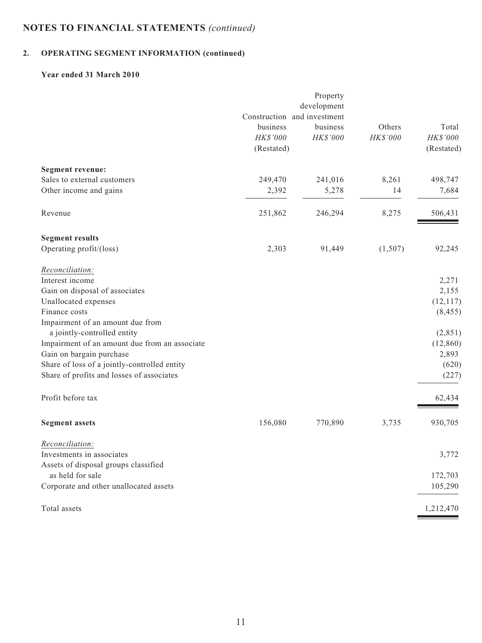# **2. OPERATING SEGMENT INFORMATION (continued)**

## **Year ended 31 March 2010**

|                                               |            | Property                    |          |            |
|-----------------------------------------------|------------|-----------------------------|----------|------------|
|                                               |            | development                 |          |            |
|                                               |            | Construction and investment |          |            |
|                                               | business   | business                    | Others   | Total      |
|                                               | HK\$'000   | HK\$'000                    | HK\$'000 | HK\$'000   |
|                                               | (Restated) |                             |          | (Restated) |
| Segment revenue:                              |            |                             |          |            |
| Sales to external customers                   | 249,470    | 241,016                     | 8,261    | 498,747    |
| Other income and gains                        | 2,392      | 5,278                       | 14       | 7,684      |
| Revenue                                       | 251,862    | 246,294                     | 8,275    | 506,431    |
| <b>Segment results</b>                        |            |                             |          |            |
| Operating profit/(loss)                       | 2,303      | 91,449                      | (1,507)  | 92,245     |
| Reconciliation:                               |            |                             |          |            |
| Interest income                               |            |                             |          | 2,271      |
| Gain on disposal of associates                |            |                             |          | 2,155      |
| Unallocated expenses                          |            |                             |          | (12, 117)  |
| Finance costs                                 |            |                             |          | (8, 455)   |
| Impairment of an amount due from              |            |                             |          |            |
| a jointly-controlled entity                   |            |                             |          | (2,851)    |
| Impairment of an amount due from an associate |            |                             |          | (12, 860)  |
| Gain on bargain purchase                      |            |                             |          | 2,893      |
| Share of loss of a jointly-controlled entity  |            |                             |          | (620)      |
| Share of profits and losses of associates     |            |                             |          | (227)      |
| Profit before tax                             |            |                             |          | 62,434     |
| <b>Segment assets</b>                         | 156,080    | 770,890                     | 3,735    | 930,705    |
| Reconciliation:                               |            |                             |          |            |
| Investments in associates                     |            |                             |          | 3,772      |
| Assets of disposal groups classified          |            |                             |          |            |
| as held for sale                              |            |                             |          | 172,703    |
| Corporate and other unallocated assets        |            |                             |          | 105,290    |
| Total assets                                  |            |                             |          | 1,212,470  |
|                                               |            |                             |          |            |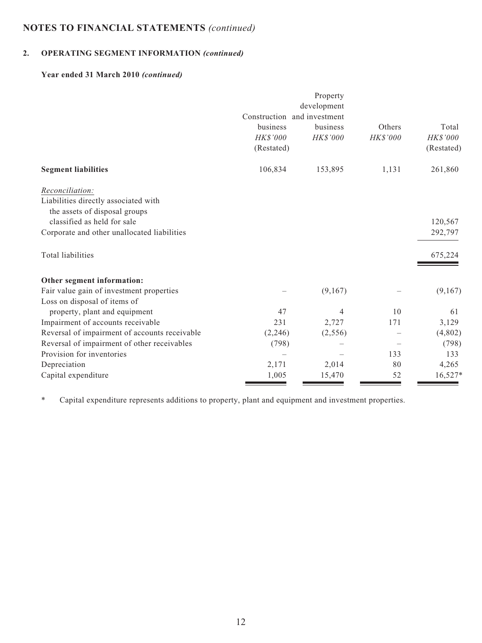# **2. OPERATING SEGMENT INFORMATION** *(continued)*

## **Year ended 31 March 2010** *(continued)*

|                                               |                             | Property    |          |            |
|-----------------------------------------------|-----------------------------|-------------|----------|------------|
|                                               | Construction and investment | development |          |            |
|                                               | business                    | business    | Others   | Total      |
|                                               | HK\$'000                    | HK\$'000    | HK\$'000 | HK\$'000   |
|                                               | (Restated)                  |             |          | (Restated) |
| <b>Segment liabilities</b>                    | 106,834                     | 153,895     | 1,131    | 261,860    |
| Reconciliation:                               |                             |             |          |            |
| Liabilities directly associated with          |                             |             |          |            |
| the assets of disposal groups                 |                             |             |          |            |
| classified as held for sale                   |                             |             |          | 120,567    |
| Corporate and other unallocated liabilities   |                             |             |          | 292,797    |
| Total liabilities                             |                             |             |          | 675,224    |
| Other segment information:                    |                             |             |          |            |
| Fair value gain of investment properties      |                             | (9,167)     |          | (9,167)    |
| Loss on disposal of items of                  |                             |             |          |            |
| property, plant and equipment                 | 47                          | 4           | 10       | 61         |
| Impairment of accounts receivable             | 231                         | 2,727       | 171      | 3,129      |
| Reversal of impairment of accounts receivable | (2,246)                     | (2,556)     |          | (4,802)    |
| Reversal of impairment of other receivables   | (798)                       |             |          | (798)      |
| Provision for inventories                     |                             |             | 133      | 133        |
| Depreciation                                  | 2,171                       | 2,014       | 80       | 4,265      |
| Capital expenditure                           | 1,005                       | 15,470      | 52       | $16,527*$  |

\* Capital expenditure represents additions to property, plant and equipment and investment properties.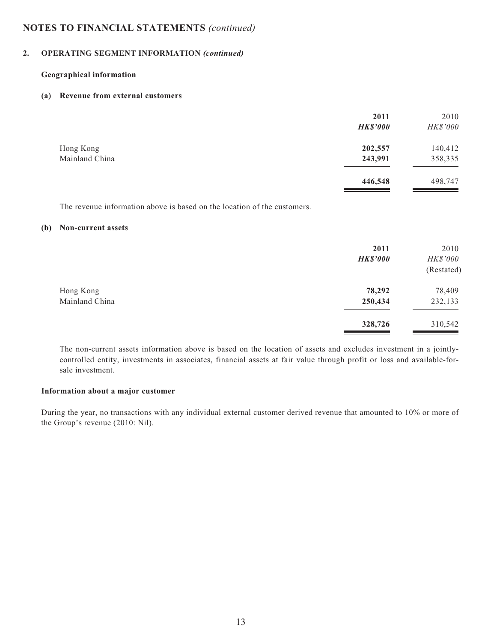#### **2. OPERATING SEGMENT INFORMATION** *(continued)*

#### **Geographical information**

#### **(a) Revenue from external customers**

|                | 2011<br><b>HK\$'000</b> | 2010<br>HK\$'000 |
|----------------|-------------------------|------------------|
| Hong Kong      | 202,557                 | 140,412          |
| Mainland China | 243,991                 | 358,335          |
|                | 446,548                 | 498,747          |

The revenue information above is based on the location of the customers.

#### **(b) Non-current assets**

|                | 2011<br><b>HK\$'000</b> | 2010<br><b>HK\$'000</b><br>(Restated) |
|----------------|-------------------------|---------------------------------------|
| Hong Kong      | 78,292                  | 78,409                                |
| Mainland China | 250,434                 | 232,133                               |
|                | 328,726                 | 310,542                               |

The non-current assets information above is based on the location of assets and excludes investment in a jointlycontrolled entity, investments in associates, financial assets at fair value through profit or loss and available-forsale investment.

#### **Information about a major customer**

During the year, no transactions with any individual external customer derived revenue that amounted to 10% or more of the Group's revenue (2010: Nil).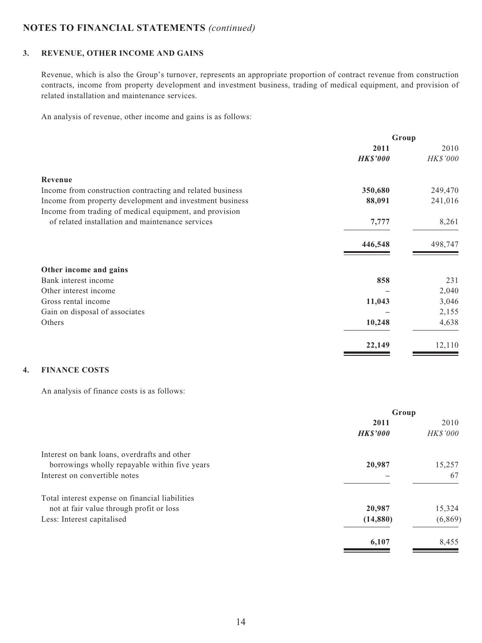### **3. REVENUE, OTHER INCOME AND GAINS**

Revenue, which is also the Group's turnover, represents an appropriate proportion of contract revenue from construction contracts, income from property development and investment business, trading of medical equipment, and provision of related installation and maintenance services.

An analysis of revenue, other income and gains is as follows:

|                                                           | Group           |          |
|-----------------------------------------------------------|-----------------|----------|
|                                                           | 2011            | 2010     |
|                                                           | <b>HK\$'000</b> | HK\$'000 |
| Revenue                                                   |                 |          |
| Income from construction contracting and related business | 350,680         | 249,470  |
| Income from property development and investment business  | 88,091          | 241,016  |
| Income from trading of medical equipment, and provision   |                 |          |
| of related installation and maintenance services          | 7,777           | 8,261    |
|                                                           | 446,548         | 498,747  |
| Other income and gains                                    |                 |          |
| Bank interest income                                      | 858             | 231      |
| Other interest income                                     |                 | 2,040    |
| Gross rental income                                       | 11,043          | 3,046    |
| Gain on disposal of associates                            |                 | 2,155    |
| Others                                                    | 10,248          | 4,638    |
|                                                           | 22,149          | 12,110   |

## **4. FINANCE COSTS**

An analysis of finance costs is as follows:

|                                                 | Group           |          |
|-------------------------------------------------|-----------------|----------|
|                                                 | 2011            | 2010     |
|                                                 | <b>HK\$'000</b> | HK\$'000 |
| Interest on bank loans, overdrafts and other    |                 |          |
| borrowings wholly repayable within five years   | 20,987          | 15,257   |
| Interest on convertible notes                   |                 | 67       |
| Total interest expense on financial liabilities |                 |          |
| not at fair value through profit or loss        | 20,987          | 15,324   |
| Less: Interest capitalised                      | (14, 880)       | (6,869)  |
|                                                 | 6,107           | 8,455    |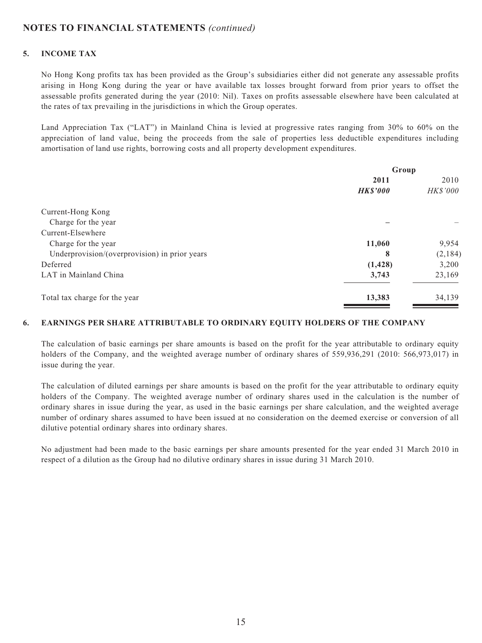#### **5. INCOME TAX**

No Hong Kong profits tax has been provided as the Group's subsidiaries either did not generate any assessable profits arising in Hong Kong during the year or have available tax losses brought forward from prior years to offset the assessable profits generated during the year (2010: Nil). Taxes on profits assessable elsewhere have been calculated at the rates of tax prevailing in the jurisdictions in which the Group operates.

Land Appreciation Tax ("LAT") in Mainland China is levied at progressive rates ranging from 30% to 60% on the appreciation of land value, being the proceeds from the sale of properties less deductible expenditures including amortisation of land use rights, borrowing costs and all property development expenditures.

|                                               | Group           |          |
|-----------------------------------------------|-----------------|----------|
|                                               | 2011            | 2010     |
|                                               | <b>HK\$'000</b> | HK\$'000 |
| Current-Hong Kong                             |                 |          |
| Charge for the year                           |                 |          |
| Current-Elsewhere                             |                 |          |
| Charge for the year                           | 11,060          | 9,954    |
| Underprovision/(overprovision) in prior years | 8               | (2, 184) |
| Deferred                                      | (1, 428)        | 3,200    |
| LAT in Mainland China                         | 3,743           | 23,169   |
| Total tax charge for the year                 | 13,383          | 34,139   |

#### **6. EARNINGS PER SHARE ATTRIBUTABLE TO ORDINARY EQUITY HOLDERS OF THE COMPANY**

The calculation of basic earnings per share amounts is based on the profit for the year attributable to ordinary equity holders of the Company, and the weighted average number of ordinary shares of 559,936,291 (2010: 566,973,017) in issue during the year.

The calculation of diluted earnings per share amounts is based on the profit for the year attributable to ordinary equity holders of the Company. The weighted average number of ordinary shares used in the calculation is the number of ordinary shares in issue during the year, as used in the basic earnings per share calculation, and the weighted average number of ordinary shares assumed to have been issued at no consideration on the deemed exercise or conversion of all dilutive potential ordinary shares into ordinary shares.

No adjustment had been made to the basic earnings per share amounts presented for the year ended 31 March 2010 in respect of a dilution as the Group had no dilutive ordinary shares in issue during 31 March 2010.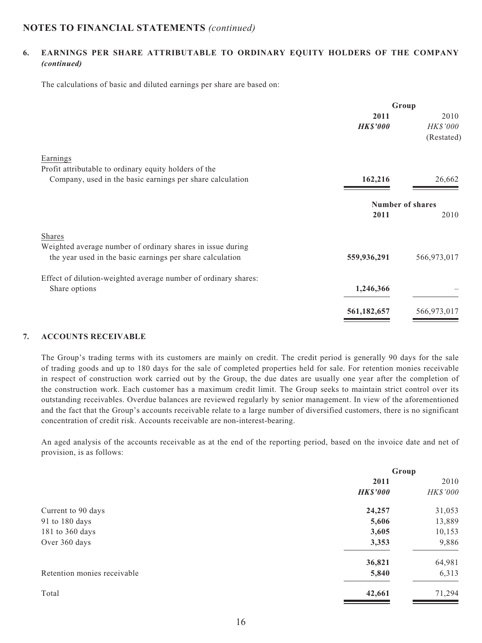### **6. EARNINGS PER SHARE ATTRIBUTABLE TO ORDINARY EQUITY HOLDERS OF THE COMPANY**  *(continued)*

The calculations of basic and diluted earnings per share are based on:

|                                                                   | Group                   |                 |
|-------------------------------------------------------------------|-------------------------|-----------------|
|                                                                   | 2011                    | 2010            |
|                                                                   | <b>HK\$'000</b>         | <b>HK\$'000</b> |
|                                                                   |                         | (Restated)      |
| Earnings<br>Profit attributable to ordinary equity holders of the |                         |                 |
| Company, used in the basic earnings per share calculation         | 162,216                 | 26,662          |
|                                                                   | <b>Number of shares</b> |                 |
|                                                                   | 2011                    | 2010            |
| <b>Shares</b>                                                     |                         |                 |
| Weighted average number of ordinary shares in issue during        |                         |                 |
| the year used in the basic earnings per share calculation         | 559,936,291             | 566,973,017     |
| Effect of dilution-weighted average number of ordinary shares:    |                         |                 |
| Share options                                                     | 1,246,366               |                 |
|                                                                   | 561,182,657             | 566,973,017     |
|                                                                   |                         |                 |

#### **7. ACCOUNTS RECEIVABLE**

The Group's trading terms with its customers are mainly on credit. The credit period is generally 90 days for the sale of trading goods and up to 180 days for the sale of completed properties held for sale. For retention monies receivable in respect of construction work carried out by the Group, the due dates are usually one year after the completion of the construction work. Each customer has a maximum credit limit. The Group seeks to maintain strict control over its outstanding receivables. Overdue balances are reviewed regularly by senior management. In view of the aforementioned and the fact that the Group's accounts receivable relate to a large number of diversified customers, there is no significant concentration of credit risk. Accounts receivable are non-interest-bearing.

An aged analysis of the accounts receivable as at the end of the reporting period, based on the invoice date and net of provision, is as follows:

|                             | Group           |          |
|-----------------------------|-----------------|----------|
|                             | 2011            | 2010     |
|                             | <b>HK\$'000</b> | HK\$'000 |
| Current to 90 days          | 24,257          | 31,053   |
| 91 to 180 days              | 5,606           | 13,889   |
| 181 to 360 days             | 3,605           | 10,153   |
| Over 360 days               | 3,353           | 9,886    |
|                             | 36,821          | 64,981   |
| Retention monies receivable | 5,840           | 6,313    |
| Total                       | 42,661          | 71,294   |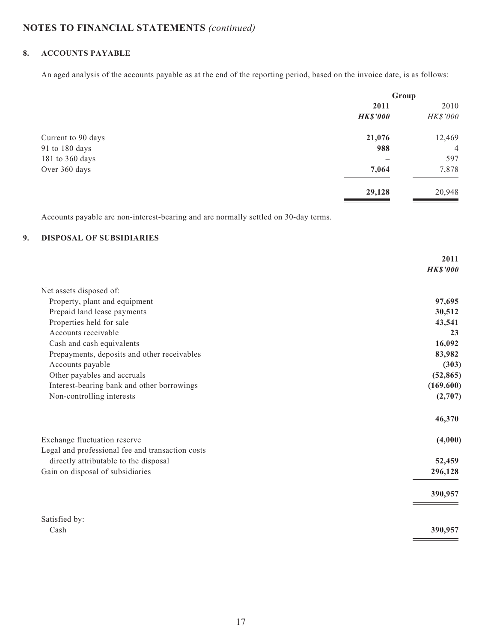## **8. ACCOUNTS PAYABLE**

An aged analysis of the accounts payable as at the end of the reporting period, based on the invoice date, is as follows:

|                    | Group           |                |
|--------------------|-----------------|----------------|
|                    | 2011            | 2010           |
|                    | <b>HK\$'000</b> | HK\$'000       |
| Current to 90 days | 21,076          | 12,469         |
| 91 to 180 days     | 988             | $\overline{4}$ |
| 181 to 360 days    |                 | 597            |
| Over 360 days      | 7,064           | 7,878          |
|                    | 29,128          | 20,948         |

Accounts payable are non-interest-bearing and are normally settled on 30-day terms.

## **9. DISPOSAL OF SUBSIDIARIES**

|                                                  | 2011            |
|--------------------------------------------------|-----------------|
|                                                  | <b>HK\$'000</b> |
| Net assets disposed of:                          |                 |
| Property, plant and equipment                    | 97,695          |
| Prepaid land lease payments                      | 30,512          |
| Properties held for sale                         | 43,541          |
| Accounts receivable                              | 23              |
| Cash and cash equivalents                        | 16,092          |
| Prepayments, deposits and other receivables      | 83,982          |
| Accounts payable                                 | (303)           |
| Other payables and accruals                      | (52, 865)       |
| Interest-bearing bank and other borrowings       | (169, 600)      |
| Non-controlling interests                        | (2,707)         |
|                                                  | 46,370          |
| Exchange fluctuation reserve                     | (4,000)         |
| Legal and professional fee and transaction costs |                 |
| directly attributable to the disposal            | 52,459          |
| Gain on disposal of subsidiaries                 | 296,128         |
|                                                  | 390,957         |
| Satisfied by:                                    |                 |
| Cash                                             | 390,957         |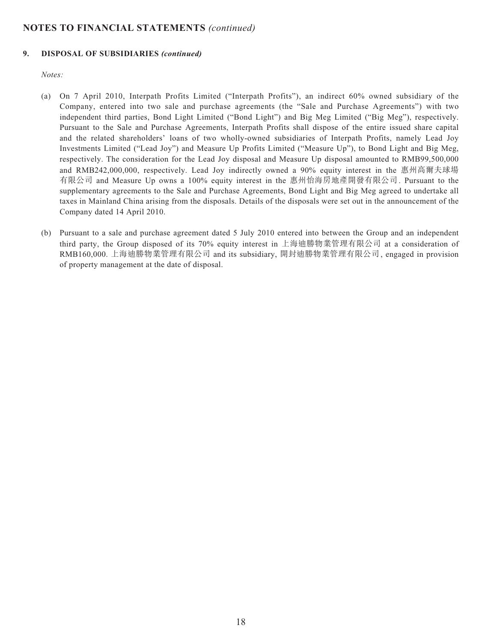#### **9. DISPOSAL OF SUBSIDIARIES** *(continued)*

#### *Notes:*

- (a) On 7 April 2010, Interpath Profits Limited ("Interpath Profits"), an indirect 60% owned subsidiary of the Company, entered into two sale and purchase agreements (the "Sale and Purchase Agreements") with two independent third parties, Bond Light Limited ("Bond Light") and Big Meg Limited ("Big Meg"), respectively. Pursuant to the Sale and Purchase Agreements, Interpath Profits shall dispose of the entire issued share capital and the related shareholders' loans of two wholly-owned subsidiaries of Interpath Profits, namely Lead Joy Investments Limited ("Lead Joy") and Measure Up Profits Limited ("Measure Up"), to Bond Light and Big Meg, respectively. The consideration for the Lead Joy disposal and Measure Up disposal amounted to RMB99,500,000 and RMB242,000,000, respectively. Lead Joy indirectly owned a 90% equity interest in the 惠州高爾夫球場 有限公司 and Measure Up owns a 100% equity interest in the 惠州怡海房地產開發有限公司. Pursuant to the supplementary agreements to the Sale and Purchase Agreements, Bond Light and Big Meg agreed to undertake all taxes in Mainland China arising from the disposals. Details of the disposals were set out in the announcement of the Company dated 14 April 2010.
- (b) Pursuant to a sale and purchase agreement dated 5 July 2010 entered into between the Group and an independent third party, the Group disposed of its 70% equity interest in 上海迪勝物業管理有限公司 at a consideration of RMB160,000. 上海迪勝物業管理有限公司 and its subsidiary, 開封迪勝物業管理有限公司, engaged in provision of property management at the date of disposal.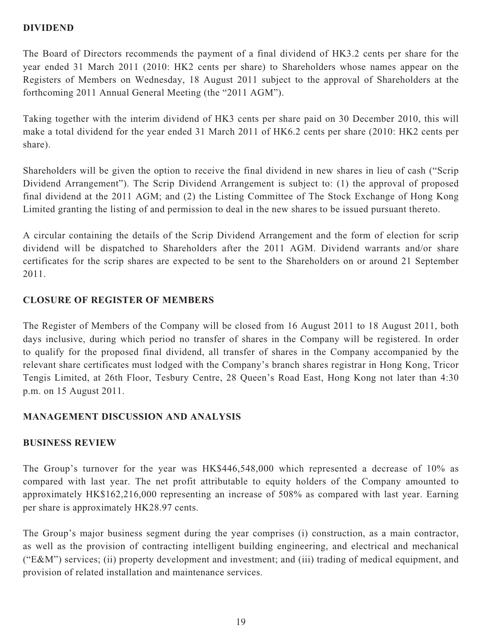# **DIVIDEND**

The Board of Directors recommends the payment of a final dividend of HK3.2 cents per share for the year ended 31 March 2011 (2010: HK2 cents per share) to Shareholders whose names appear on the Registers of Members on Wednesday, 18 August 2011 subject to the approval of Shareholders at the forthcoming 2011 Annual General Meeting (the "2011 AGM").

Taking together with the interim dividend of HK3 cents per share paid on 30 December 2010, this will make a total dividend for the year ended 31 March 2011 of HK6.2 cents per share (2010: HK2 cents per share).

Shareholders will be given the option to receive the final dividend in new shares in lieu of cash ("Scrip Dividend Arrangement"). The Scrip Dividend Arrangement is subject to: (1) the approval of proposed final dividend at the 2011 AGM; and (2) the Listing Committee of The Stock Exchange of Hong Kong Limited granting the listing of and permission to deal in the new shares to be issued pursuant thereto.

A circular containing the details of the Scrip Dividend Arrangement and the form of election for scrip dividend will be dispatched to Shareholders after the 2011 AGM. Dividend warrants and/or share certificates for the scrip shares are expected to be sent to the Shareholders on or around 21 September 2011.

# **CLOSURE OF REGISTER OF MEMBERS**

The Register of Members of the Company will be closed from 16 August 2011 to 18 August 2011, both days inclusive, during which period no transfer of shares in the Company will be registered. In order to qualify for the proposed final dividend, all transfer of shares in the Company accompanied by the relevant share certificates must lodged with the Company's branch shares registrar in Hong Kong, Tricor Tengis Limited, at 26th Floor, Tesbury Centre, 28 Queen's Road East, Hong Kong not later than 4:30 p.m. on 15 August 2011.

# **MANAGEMENT DISCUSSION AND ANALYSIS**

# **BUSINESS REVIEW**

The Group's turnover for the year was HK\$446,548,000 which represented a decrease of 10% as compared with last year. The net profit attributable to equity holders of the Company amounted to approximately HK\$162,216,000 representing an increase of 508% as compared with last year. Earning per share is approximately HK28.97 cents.

The Group's major business segment during the year comprises (i) construction, as a main contractor, as well as the provision of contracting intelligent building engineering, and electrical and mechanical ("E&M") services; (ii) property development and investment; and (iii) trading of medical equipment, and provision of related installation and maintenance services.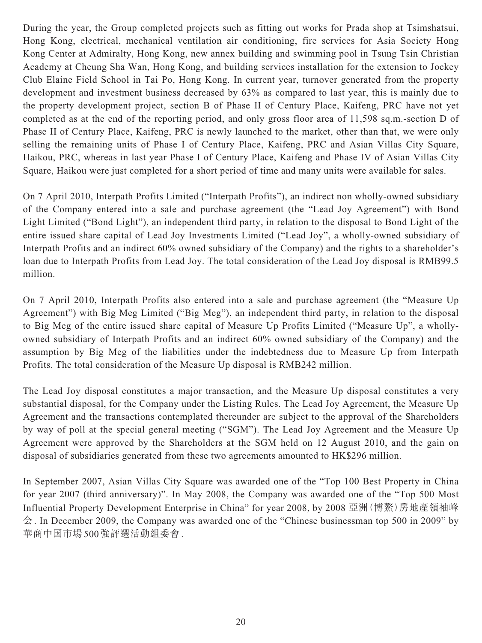During the year, the Group completed projects such as fitting out works for Prada shop at Tsimshatsui, Hong Kong, electrical, mechanical ventilation air conditioning, fire services for Asia Society Hong Kong Center at Admiralty, Hong Kong, new annex building and swimming pool in Tsung Tsin Christian Academy at Cheung Sha Wan, Hong Kong, and building services installation for the extension to Jockey Club Elaine Field School in Tai Po, Hong Kong. In current year, turnover generated from the property development and investment business decreased by 63% as compared to last year, this is mainly due to the property development project, section B of Phase II of Century Place, Kaifeng, PRC have not yet completed as at the end of the reporting period, and only gross floor area of 11,598 sq.m.-section D of Phase II of Century Place, Kaifeng, PRC is newly launched to the market, other than that, we were only selling the remaining units of Phase I of Century Place, Kaifeng, PRC and Asian Villas City Square, Haikou, PRC, whereas in last year Phase I of Century Place, Kaifeng and Phase IV of Asian Villas City Square, Haikou were just completed for a short period of time and many units were available for sales.

On 7 April 2010, Interpath Profits Limited ("Interpath Profits"), an indirect non wholly-owned subsidiary of the Company entered into a sale and purchase agreement (the "Lead Joy Agreement") with Bond Light Limited ("Bond Light"), an independent third party, in relation to the disposal to Bond Light of the entire issued share capital of Lead Joy Investments Limited ("Lead Joy", a wholly-owned subsidiary of Interpath Profits and an indirect 60% owned subsidiary of the Company) and the rights to a shareholder's loan due to Interpath Profits from Lead Joy. The total consideration of the Lead Joy disposal is RMB99.5 million.

On 7 April 2010, Interpath Profits also entered into a sale and purchase agreement (the "Measure Up Agreement") with Big Meg Limited ("Big Meg"), an independent third party, in relation to the disposal to Big Meg of the entire issued share capital of Measure Up Profits Limited ("Measure Up", a whollyowned subsidiary of Interpath Profits and an indirect 60% owned subsidiary of the Company) and the assumption by Big Meg of the liabilities under the indebtedness due to Measure Up from Interpath Profits. The total consideration of the Measure Up disposal is RMB242 million.

The Lead Joy disposal constitutes a major transaction, and the Measure Up disposal constitutes a very substantial disposal, for the Company under the Listing Rules. The Lead Joy Agreement, the Measure Up Agreement and the transactions contemplated thereunder are subject to the approval of the Shareholders by way of poll at the special general meeting ("SGM"). The Lead Joy Agreement and the Measure Up Agreement were approved by the Shareholders at the SGM held on 12 August 2010, and the gain on disposal of subsidiaries generated from these two agreements amounted to HK\$296 million.

In September 2007, Asian Villas City Square was awarded one of the "Top 100 Best Property in China for year 2007 (third anniversary)". In May 2008, the Company was awarded one of the "Top 500 Most Influential Property Development Enterprise in China" for year 2008, by 2008 亞洲(博鰲)房地產領袖峰 会. In December 2009, the Company was awarded one of the "Chinese businessman top 500 in 2009" by 華商中国市場500強評選活動組委會.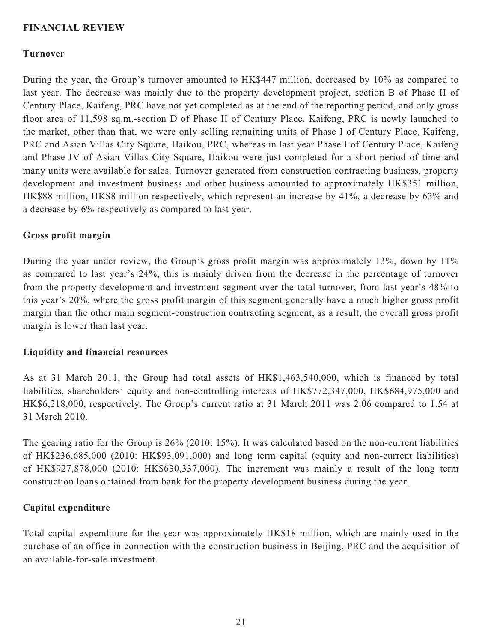## **FINANCIAL REVIEW**

## **Turnover**

During the year, the Group's turnover amounted to HK\$447 million, decreased by 10% as compared to last year. The decrease was mainly due to the property development project, section B of Phase II of Century Place, Kaifeng, PRC have not yet completed as at the end of the reporting period, and only gross floor area of 11,598 sq.m.-section D of Phase II of Century Place, Kaifeng, PRC is newly launched to the market, other than that, we were only selling remaining units of Phase I of Century Place, Kaifeng, PRC and Asian Villas City Square, Haikou, PRC, whereas in last year Phase I of Century Place, Kaifeng and Phase IV of Asian Villas City Square, Haikou were just completed for a short period of time and many units were available for sales. Turnover generated from construction contracting business, property development and investment business and other business amounted to approximately HK\$351 million, HK\$88 million, HK\$8 million respectively, which represent an increase by 41%, a decrease by 63% and a decrease by 6% respectively as compared to last year.

## **Gross profit margin**

During the year under review, the Group's gross profit margin was approximately 13%, down by 11% as compared to last year's 24%, this is mainly driven from the decrease in the percentage of turnover from the property development and investment segment over the total turnover, from last year's 48% to this year's 20%, where the gross profit margin of this segment generally have a much higher gross profit margin than the other main segment-construction contracting segment, as a result, the overall gross profit margin is lower than last year.

### **Liquidity and financial resources**

As at 31 March 2011, the Group had total assets of HK\$1,463,540,000, which is financed by total liabilities, shareholders' equity and non-controlling interests of HK\$772,347,000, HK\$684,975,000 and HK\$6,218,000, respectively. The Group's current ratio at 31 March 2011 was 2.06 compared to 1.54 at 31 March 2010.

The gearing ratio for the Group is 26% (2010: 15%). It was calculated based on the non-current liabilities of HK\$236,685,000 (2010: HK\$93,091,000) and long term capital (equity and non-current liabilities) of HK\$927,878,000 (2010: HK\$630,337,000). The increment was mainly a result of the long term construction loans obtained from bank for the property development business during the year.

## **Capital expenditure**

Total capital expenditure for the year was approximately HK\$18 million, which are mainly used in the purchase of an office in connection with the construction business in Beijing, PRC and the acquisition of an available-for-sale investment.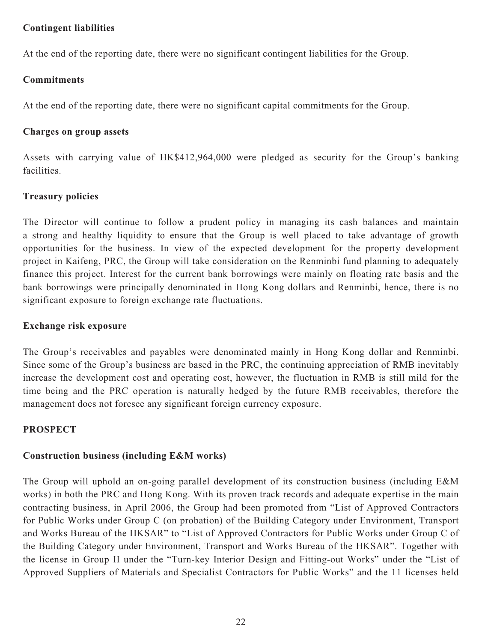## **Contingent liabilities**

At the end of the reporting date, there were no significant contingent liabilities for the Group.

# **Commitments**

At the end of the reporting date, there were no significant capital commitments for the Group.

# **Charges on group assets**

Assets with carrying value of HK\$412,964,000 were pledged as security for the Group's banking facilities.

# **Treasury policies**

The Director will continue to follow a prudent policy in managing its cash balances and maintain a strong and healthy liquidity to ensure that the Group is well placed to take advantage of growth opportunities for the business. In view of the expected development for the property development project in Kaifeng, PRC, the Group will take consideration on the Renminbi fund planning to adequately finance this project. Interest for the current bank borrowings were mainly on floating rate basis and the bank borrowings were principally denominated in Hong Kong dollars and Renminbi, hence, there is no significant exposure to foreign exchange rate fluctuations.

# **Exchange risk exposure**

The Group's receivables and payables were denominated mainly in Hong Kong dollar and Renminbi. Since some of the Group's business are based in the PRC, the continuing appreciation of RMB inevitably increase the development cost and operating cost, however, the fluctuation in RMB is still mild for the time being and the PRC operation is naturally hedged by the future RMB receivables, therefore the management does not foresee any significant foreign currency exposure.

# **PROSPECT**

# **Construction business (including E&M works)**

The Group will uphold an on-going parallel development of its construction business (including E&M works) in both the PRC and Hong Kong. With its proven track records and adequate expertise in the main contracting business, in April 2006, the Group had been promoted from "List of Approved Contractors for Public Works under Group C (on probation) of the Building Category under Environment, Transport and Works Bureau of the HKSAR" to "List of Approved Contractors for Public Works under Group C of the Building Category under Environment, Transport and Works Bureau of the HKSAR". Together with the license in Group II under the "Turn-key Interior Design and Fitting-out Works" under the "List of Approved Suppliers of Materials and Specialist Contractors for Public Works" and the 11 licenses held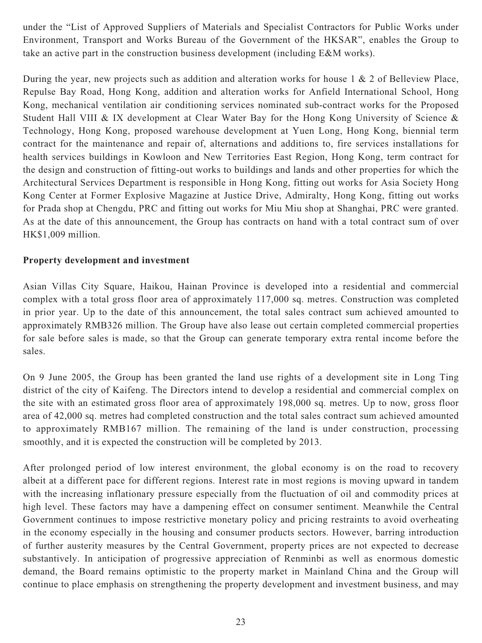under the "List of Approved Suppliers of Materials and Specialist Contractors for Public Works under Environment, Transport and Works Bureau of the Government of the HKSAR", enables the Group to take an active part in the construction business development (including E&M works).

During the year, new projects such as addition and alteration works for house 1 & 2 of Belleview Place, Repulse Bay Road, Hong Kong, addition and alteration works for Anfield International School, Hong Kong, mechanical ventilation air conditioning services nominated sub-contract works for the Proposed Student Hall VIII & IX development at Clear Water Bay for the Hong Kong University of Science & Technology, Hong Kong, proposed warehouse development at Yuen Long, Hong Kong, biennial term contract for the maintenance and repair of, alternations and additions to, fire services installations for health services buildings in Kowloon and New Territories East Region, Hong Kong, term contract for the design and construction of fitting-out works to buildings and lands and other properties for which the Architectural Services Department is responsible in Hong Kong, fitting out works for Asia Society Hong Kong Center at Former Explosive Magazine at Justice Drive, Admiralty, Hong Kong, fitting out works for Prada shop at Chengdu, PRC and fitting out works for Miu Miu shop at Shanghai, PRC were granted. As at the date of this announcement, the Group has contracts on hand with a total contract sum of over HK\$1,009 million.

## **Property development and investment**

Asian Villas City Square, Haikou, Hainan Province is developed into a residential and commercial complex with a total gross floor area of approximately 117,000 sq. metres. Construction was completed in prior year. Up to the date of this announcement, the total sales contract sum achieved amounted to approximately RMB326 million. The Group have also lease out certain completed commercial properties for sale before sales is made, so that the Group can generate temporary extra rental income before the sales.

On 9 June 2005, the Group has been granted the land use rights of a development site in Long Ting district of the city of Kaifeng. The Directors intend to develop a residential and commercial complex on the site with an estimated gross floor area of approximately 198,000 sq. metres. Up to now, gross floor area of 42,000 sq. metres had completed construction and the total sales contract sum achieved amounted to approximately RMB167 million. The remaining of the land is under construction, processing smoothly, and it is expected the construction will be completed by 2013.

After prolonged period of low interest environment, the global economy is on the road to recovery albeit at a different pace for different regions. Interest rate in most regions is moving upward in tandem with the increasing inflationary pressure especially from the fluctuation of oil and commodity prices at high level. These factors may have a dampening effect on consumer sentiment. Meanwhile the Central Government continues to impose restrictive monetary policy and pricing restraints to avoid overheating in the economy especially in the housing and consumer products sectors. However, barring introduction of further austerity measures by the Central Government, property prices are not expected to decrease substantively. In anticipation of progressive appreciation of Renminbi as well as enormous domestic demand, the Board remains optimistic to the property market in Mainland China and the Group will continue to place emphasis on strengthening the property development and investment business, and may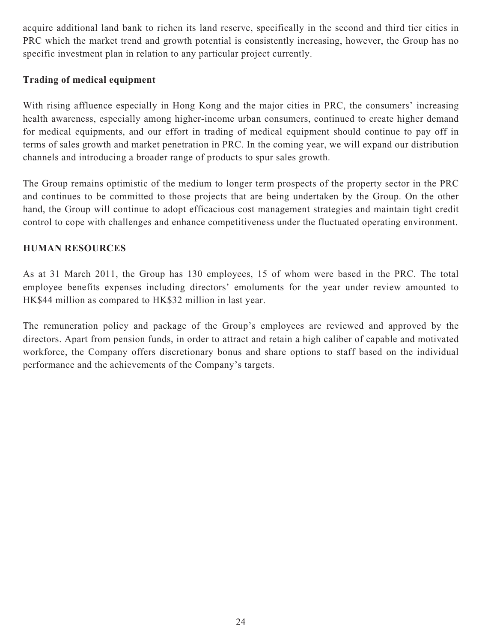acquire additional land bank to richen its land reserve, specifically in the second and third tier cities in PRC which the market trend and growth potential is consistently increasing, however, the Group has no specific investment plan in relation to any particular project currently.

# **Trading of medical equipment**

With rising affluence especially in Hong Kong and the major cities in PRC, the consumers' increasing health awareness, especially among higher-income urban consumers, continued to create higher demand for medical equipments, and our effort in trading of medical equipment should continue to pay off in terms of sales growth and market penetration in PRC. In the coming year, we will expand our distribution channels and introducing a broader range of products to spur sales growth.

The Group remains optimistic of the medium to longer term prospects of the property sector in the PRC and continues to be committed to those projects that are being undertaken by the Group. On the other hand, the Group will continue to adopt efficacious cost management strategies and maintain tight credit control to cope with challenges and enhance competitiveness under the fluctuated operating environment.

# **HUMAN RESOURCES**

As at 31 March 2011, the Group has 130 employees, 15 of whom were based in the PRC. The total employee benefits expenses including directors' emoluments for the year under review amounted to HK\$44 million as compared to HK\$32 million in last year.

The remuneration policy and package of the Group's employees are reviewed and approved by the directors. Apart from pension funds, in order to attract and retain a high caliber of capable and motivated workforce, the Company offers discretionary bonus and share options to staff based on the individual performance and the achievements of the Company's targets.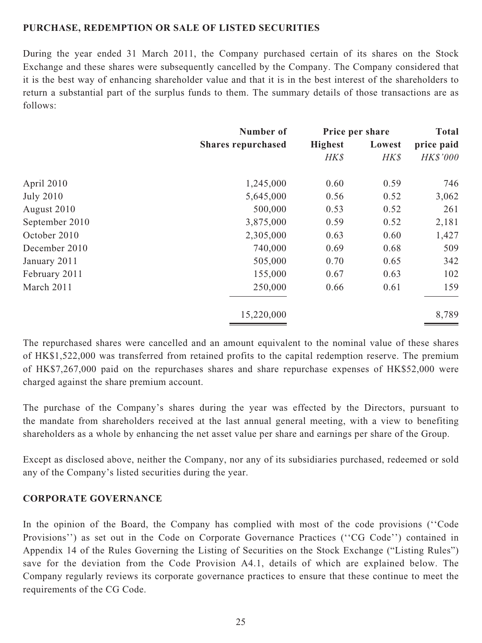## **PURCHASE, REDEMPTION OR SALE OF LISTED SECURITIES**

During the year ended 31 March 2011, the Company purchased certain of its shares on the Stock Exchange and these shares were subsequently cancelled by the Company. The Company considered that it is the best way of enhancing shareholder value and that it is in the best interest of the shareholders to return a substantial part of the surplus funds to them. The summary details of those transactions are as follows:

|                  | Number of                 |                | Price per share | <b>Total</b>    |
|------------------|---------------------------|----------------|-----------------|-----------------|
|                  | <b>Shares repurchased</b> | <b>Highest</b> | Lowest          | price paid      |
|                  |                           | HK\$           | HK\$            | <b>HK\$'000</b> |
| April 2010       | 1,245,000                 | 0.60           | 0.59            | 746             |
| <b>July 2010</b> | 5,645,000                 | 0.56           | 0.52            | 3,062           |
| August 2010      | 500,000                   | 0.53           | 0.52            | 261             |
| September 2010   | 3,875,000                 | 0.59           | 0.52            | 2,181           |
| October 2010     | 2,305,000                 | 0.63           | 0.60            | 1,427           |
| December 2010    | 740,000                   | 0.69           | 0.68            | 509             |
| January 2011     | 505,000                   | 0.70           | 0.65            | 342             |
| February 2011    | 155,000                   | 0.67           | 0.63            | 102             |
| March 2011       | 250,000                   | 0.66           | 0.61            | 159             |
|                  | 15,220,000                |                |                 | 8,789           |

The repurchased shares were cancelled and an amount equivalent to the nominal value of these shares of HK\$1,522,000 was transferred from retained profits to the capital redemption reserve. The premium of HK\$7,267,000 paid on the repurchases shares and share repurchase expenses of HK\$52,000 were charged against the share premium account.

The purchase of the Company's shares during the year was effected by the Directors, pursuant to the mandate from shareholders received at the last annual general meeting, with a view to benefiting shareholders as a whole by enhancing the net asset value per share and earnings per share of the Group.

Except as disclosed above, neither the Company, nor any of its subsidiaries purchased, redeemed or sold any of the Company's listed securities during the year.

## **CORPORATE GOVERNANCE**

In the opinion of the Board, the Company has complied with most of the code provisions (''Code Provisions'') as set out in the Code on Corporate Governance Practices (''CG Code'') contained in Appendix 14 of the Rules Governing the Listing of Securities on the Stock Exchange ("Listing Rules") save for the deviation from the Code Provision A4.1, details of which are explained below. The Company regularly reviews its corporate governance practices to ensure that these continue to meet the requirements of the CG Code.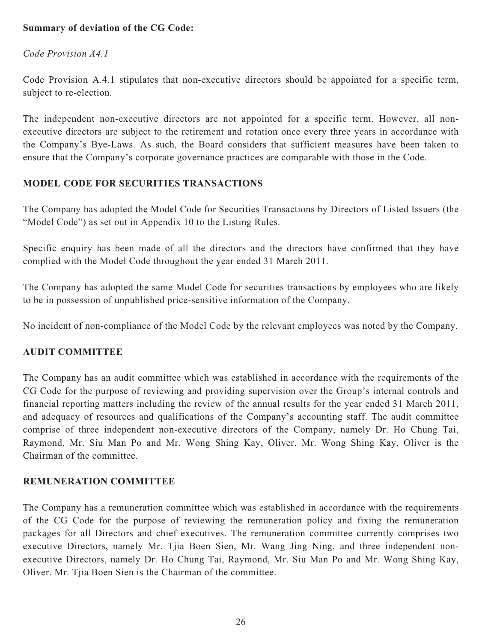# **Summary of deviation of the CG Code:**

## *Code Provision A4.1*

Code Provision A.4.1 stipulates that non-executive directors should be appointed for a specific term, subject to re-election.

The independent non-executive directors are not appointed for a specific term. However, all nonexecutive directors are subject to the retirement and rotation once every three years in accordance with the Company's Bye-Laws. As such, the Board considers that sufficient measures have been taken to ensure that the Company's corporate governance practices are comparable with those in the Code.

# **MODEL CODE FOR SECURITIES TRANSACTIONS**

The Company has adopted the Model Code for Securities Transactions by Directors of Listed Issuers (the "Model Code") as set out in Appendix 10 to the Listing Rules.

Specific enquiry has been made of all the directors and the directors have confirmed that they have complied with the Model Code throughout the year ended 31 March 2011.

The Company has adopted the same Model Code for securities transactions by employees who are likely to be in possession of unpublished price-sensitive information of the Company.

No incident of non-compliance of the Model Code by the relevant employees was noted by the Company.

## **AUDIT COMMITTEE**

The Company has an audit committee which was established in accordance with the requirements of the CG Code for the purpose of reviewing and providing supervision over the Group's internal controls and financial reporting matters including the review of the annual results for the year ended 31 March 2011, and adequacy of resources and qualifications of the Company's accounting staff. The audit committee comprise of three independent non-executive directors of the Company, namely Dr. Ho Chung Tai, Raymond, Mr. Siu Man Po and Mr. Wong Shing Kay, Oliver. Mr. Wong Shing Kay, Oliver is the Chairman of the committee.

## **REMUNERATION COMMITTEE**

The Company has a remuneration committee which was established in accordance with the requirements of the CG Code for the purpose of reviewing the remuneration policy and fixing the remuneration packages for all Directors and chief executives. The remuneration committee currently comprises two executive Directors, namely Mr. Tjia Boen Sien, Mr. Wang Jing Ning, and three independent nonexecutive Directors, namely Dr. Ho Chung Tai, Raymond, Mr. Siu Man Po and Mr. Wong Shing Kay, Oliver. Mr. Tjia Boen Sien is the Chairman of the committee.